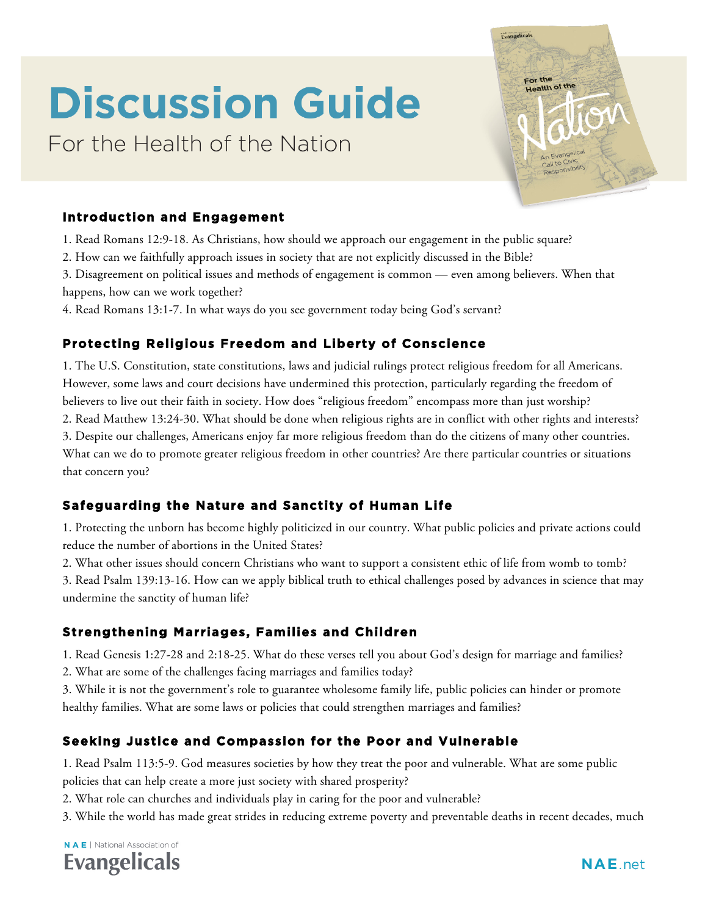# **Discussion Guide**

For the Health of the Nation

Evangelicals For the Health of the

## **Introduction and Engagement**

- 1. Read Romans 12:9-18. As Christians, how should we approach our engagement in the public square?
- 2. How can we faithfully approach issues in society that are not explicitly discussed in the Bible?
- 3. Disagreement on political issues and methods of engagement is common even among believers. When that happens, how can we work together?
- 4. Read Romans 13:1-7. In what ways do you see government today being God's servant?

# **Protecting Religious Freedom and Liberty of Conscience**

1. The U.S. Constitution, state constitutions, laws and judicial rulings protect religious freedom for all Americans. However, some laws and court decisions have undermined this protection, particularly regarding the freedom of believers to live out their faith in society. How does "religious freedom" encompass more than just worship? 2. Read Matthew 13:24-30. What should be done when religious rights are in conflict with other rights and interests? 3. Despite our challenges, Americans enjoy far more religious freedom than do the citizens of many other countries. What can we do to promote greater religious freedom in other countries? Are there particular countries or situations that concern you?

## **Safeguarding the Nature and Sanctity of Human Life**

1. Protecting the unborn has become highly politicized in our country. What public policies and private actions could reduce the number of abortions in the United States?

2. What other issues should concern Christians who want to support a consistent ethic of life from womb to tomb?

3. Read Psalm 139:13-16. How can we apply biblical truth to ethical challenges posed by advances in science that may undermine the sanctity of human life?

## **Strengthening Marriages, Families and Children**

1. Read Genesis 1:27-28 and 2:18-25. What do these verses tell you about God's design for marriage and families?

2. What are some of the challenges facing marriages and families today?

3. While it is not the government's role to guarantee wholesome family life, public policies can hinder or promote healthy families. What are some laws or policies that could strengthen marriages and families?

## **Seeking Justice and Compassion for the Poor and Vulnerable**

1. Read Psalm 113:5-9. God measures societies by how they treat the poor and vulnerable. What are some public policies that can help create a more just society with shared prosperity?

- 2. What role can churches and individuals play in caring for the poor and vulnerable?
- 3. While the world has made great strides in reducing extreme poverty and preventable deaths in recent decades, much

**NAE** | National Association of **Evangelicals**